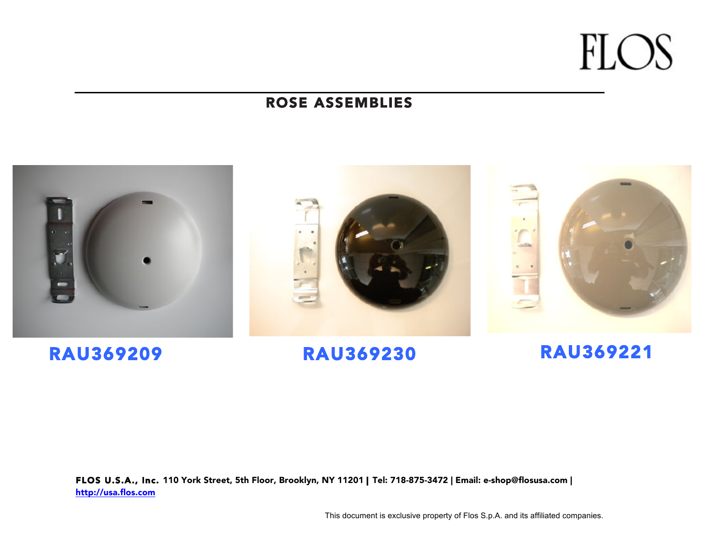**FLOS** 

### ROSE ASSEMBLIES



### RAU369209 RAU369230 RAU369221

FLOS U.S.A., Inc. 110 York Street, 5th Floor, Brooklyn, NY 11201 | Tel: 718-875-3472 | Email: e-shop@flosusa.com | http://usa.flos.com

This document is exclusive property of Flos S.p.A. and its affiliated companies.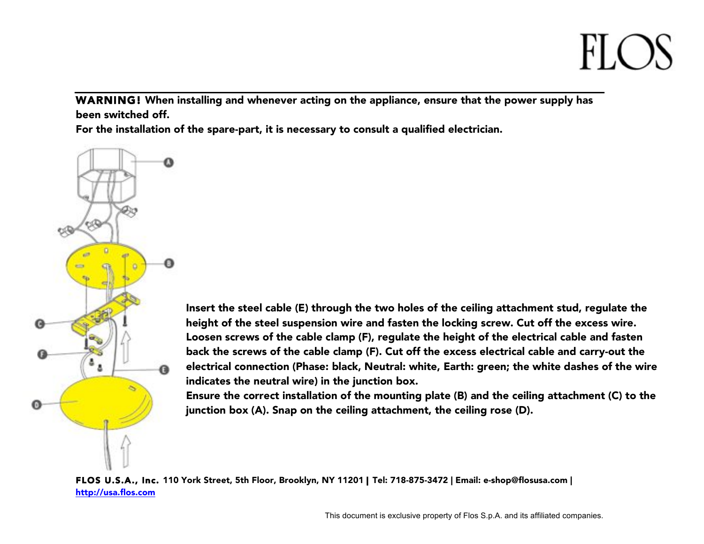## $F(A)$

WARNING! When installing and whenever acting on the appliance, ensure that the power supply has been switched off.

For the installation of the spare-part, it is necessary to consult a qualified electrician.



Insert the steel cable (E) through the two holes of the ceiling attachment stud, regulate the height of the steel suspension wire and fasten the locking screw. Cut off the excess wire. Loosen screws of the cable clamp (F), regulate the height of the electrical cable and fasten back the screws of the cable clamp (F). Cut off the excess electrical cable and carry-out the electrical connection (Phase: black, Neutral: white, Earth: green; the white dashes of the wire indicates the neutral wire) in the junction box.

Ensure the correct installation of the mounting plate (B) and the ceiling attachment (C) to the junction box (A). Snap on the ceiling attachment, the ceiling rose (D).